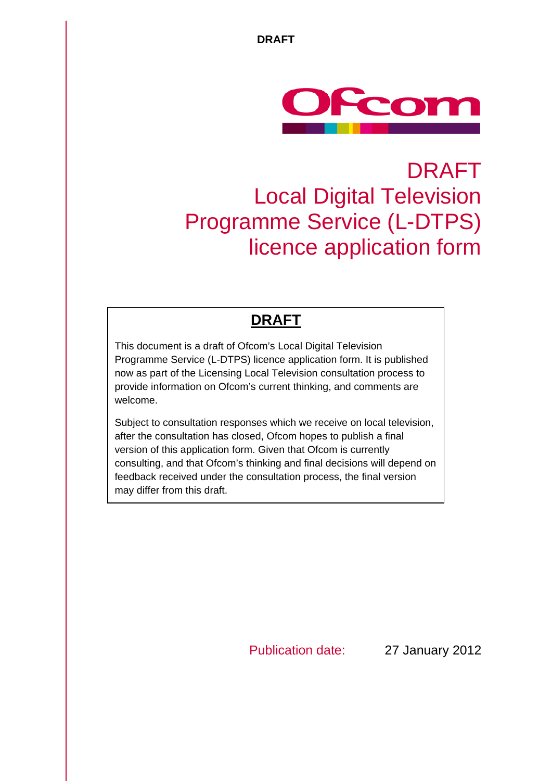

# DRAFT Local Digital Television Programme Service (L-DTPS) licence application form

# **DRAFT**

This document is a draft of Ofcom's Local Digital Television Programme Service (L-DTPS) licence application form. It is published now as part of the Licensing Local Television consultation process to provide information on Ofcom's current thinking, and comments are welcome.

Subject to consultation responses which we receive on local television, after the consultation has closed, Ofcom hopes to publish a final version of this application form. Given that Ofcom is currently consulting, and that Ofcom's thinking and final decisions will depend on feedback received under the consultation process, the final version may differ from this draft.

Publication date: 27 January 2012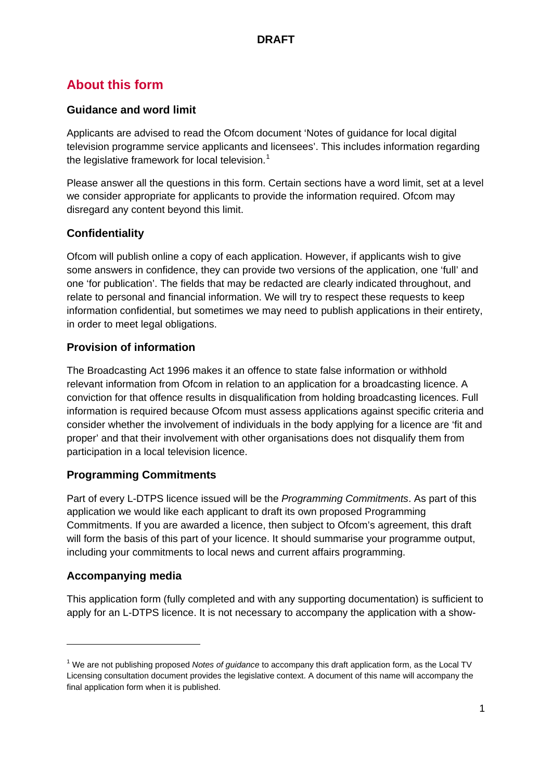# **About this form**

### **Guidance and word limit**

Applicants are advised to read the Ofcom document 'Notes of guidance for local digital television programme service applicants and licensees'. This includes information regarding the legislative framework for local television.<sup>[1](#page-1-0)</sup>

Please answer all the questions in this form. Certain sections have a word limit, set at a level we consider appropriate for applicants to provide the information required. Ofcom may disregard any content beyond this limit.

## **Confidentiality**

Ofcom will publish online a copy of each application. However, if applicants wish to give some answers in confidence, they can provide two versions of the application, one 'full' and one 'for publication'. The fields that may be redacted are clearly indicated throughout, and relate to personal and financial information. We will try to respect these requests to keep information confidential, but sometimes we may need to publish applications in their entirety, in order to meet legal obligations.

# **Provision of information**

The Broadcasting Act 1996 makes it an offence to state false information or withhold relevant information from Ofcom in relation to an application for a broadcasting licence. A conviction for that offence results in disqualification from holding broadcasting licences. Full information is required because Ofcom must assess applications against specific criteria and consider whether the involvement of individuals in the body applying for a licence are 'fit and proper' and that their involvement with other organisations does not disqualify them from participation in a local television licence.

## **Programming Commitments**

Part of every L-DTPS licence issued will be the *Programming Commitments*. As part of this application we would like each applicant to draft its own proposed Programming Commitments. If you are awarded a licence, then subject to Ofcom's agreement, this draft will form the basis of this part of your licence. It should summarise your programme output, including your commitments to local news and current affairs programming.

## **Accompanying media**

-

This application form (fully completed and with any supporting documentation) is sufficient to apply for an L-DTPS licence. It is not necessary to accompany the application with a show-

<span id="page-1-0"></span><sup>1</sup> We are not publishing proposed *Notes of guidance* to accompany this draft application form, as the Local TV Licensing consultation document provides the legislative context. A document of this name will accompany the final application form when it is published.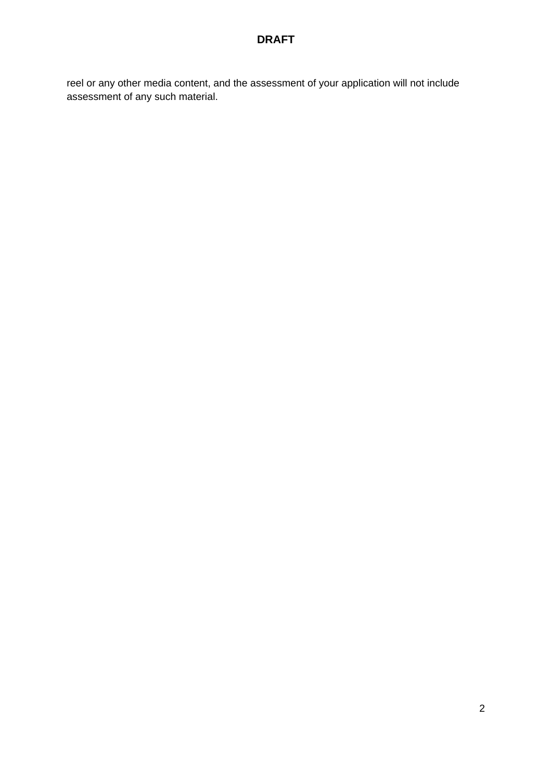reel or any other media content, and the assessment of your application will not include assessment of any such material.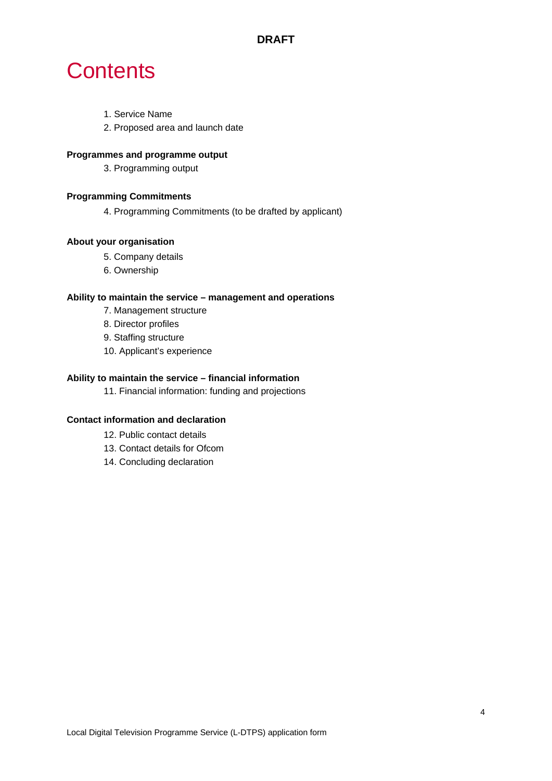# **Contents**

- 1. Service Name
- 2. Proposed area and launch date

#### **Programmes and programme output**

3. Programming output

#### **Programming Commitments**

4. Programming Commitments (to be drafted by applicant)

#### **About your organisation**

- 5. Company details
- 6. Ownership

#### **Ability to maintain the service – management and operations**

- 7. Management structure
- 8. Director profiles
- 9. Staffing structure
- 10. Applicant's experience

#### **Ability to maintain the service – financial information**

11. Financial information: funding and projections

#### **Contact information and declaration**

- 12. Public contact details
- 13. Contact details for Ofcom
- 14. Concluding declaration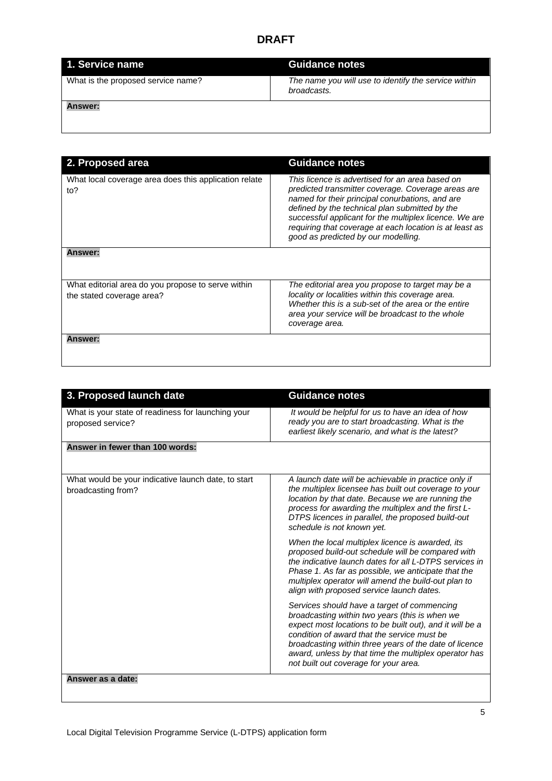| 1. Service name                    | Guidance notes                                                      |
|------------------------------------|---------------------------------------------------------------------|
| What is the proposed service name? | The name you will use to identify the service within<br>broadcasts. |
| <b>Answer:</b>                     |                                                                     |

| 2. Proposed area                                                                | <b>Guidance notes</b>                                                                                                                                                                                                                                                                                                                                                  |
|---------------------------------------------------------------------------------|------------------------------------------------------------------------------------------------------------------------------------------------------------------------------------------------------------------------------------------------------------------------------------------------------------------------------------------------------------------------|
| What local coverage area does this application relate<br>to?                    | This licence is advertised for an area based on<br>predicted transmitter coverage. Coverage areas are<br>named for their principal conurbations, and are<br>defined by the technical plan submitted by the<br>successful applicant for the multiplex licence. We are<br>requiring that coverage at each location is at least as<br>good as predicted by our modelling. |
| <b>Answer:</b>                                                                  |                                                                                                                                                                                                                                                                                                                                                                        |
| What editorial area do you propose to serve within<br>the stated coverage area? | The editorial area you propose to target may be a<br>locality or localities within this coverage area.<br>Whether this is a sub-set of the area or the entire<br>area your service will be broadcast to the whole<br>coverage area.                                                                                                                                    |
| <b>Answer:</b>                                                                  |                                                                                                                                                                                                                                                                                                                                                                        |

| 3. Proposed launch date                                                   | <b>Guidance notes</b>                                                                                                                                                                                                                                                                                                                                                |
|---------------------------------------------------------------------------|----------------------------------------------------------------------------------------------------------------------------------------------------------------------------------------------------------------------------------------------------------------------------------------------------------------------------------------------------------------------|
| What is your state of readiness for launching your<br>proposed service?   | It would be helpful for us to have an idea of how<br>ready you are to start broadcasting. What is the<br>earliest likely scenario, and what is the latest?                                                                                                                                                                                                           |
| Answer in fewer than 100 words:                                           |                                                                                                                                                                                                                                                                                                                                                                      |
| What would be your indicative launch date, to start<br>broadcasting from? | A launch date will be achievable in practice only if<br>the multiplex licensee has built out coverage to your<br>location by that date. Because we are running the<br>process for awarding the multiplex and the first L-<br>DTPS licences in parallel, the proposed build-out<br>schedule is not known yet.                                                         |
|                                                                           | When the local multiplex licence is awarded, its<br>proposed build-out schedule will be compared with<br>the indicative launch dates for all L-DTPS services in<br>Phase 1. As far as possible, we anticipate that the<br>multiplex operator will amend the build-out plan to<br>align with proposed service launch dates.                                           |
|                                                                           | Services should have a target of commencing<br>broadcasting within two years (this is when we<br>expect most locations to be built out), and it will be a<br>condition of award that the service must be<br>broadcasting within three years of the date of licence<br>award, unless by that time the multiplex operator has<br>not built out coverage for your area. |
| Answer as a date:                                                         |                                                                                                                                                                                                                                                                                                                                                                      |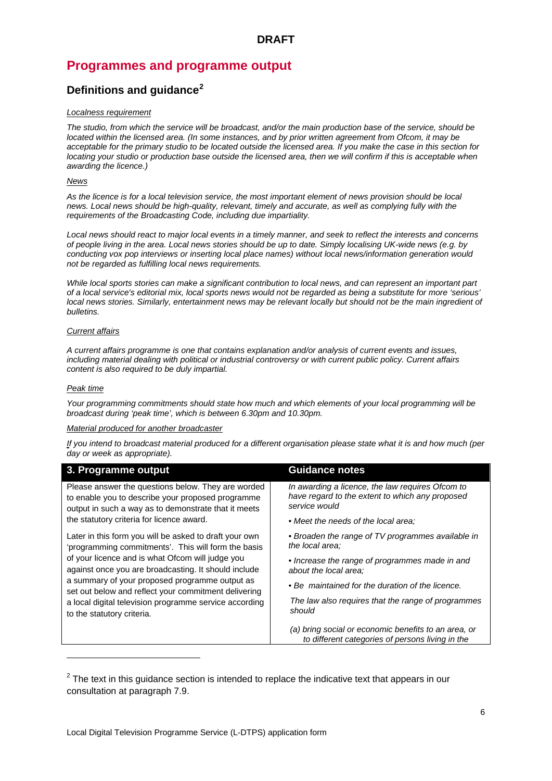# **Programmes and programme output**

### **Definitions and guidance[2](#page-6-0)**

#### *Localness requirement*

*The studio, from which the service will be broadcast, and/or the main production base of the service, should be located within the licensed area. (In some instances, and by prior written agreement from Ofcom, it may be acceptable for the primary studio to be located outside the licensed area. If you make the case in this section for locating your studio or production base outside the licensed area, then we will confirm if this is acceptable when awarding the licence.)*

#### *News*

As the licence is for a local television service, the most important element of news provision should be local *news. Local news should be high-quality, relevant, timely and accurate, as well as complying fully with the requirements of the Broadcasting Code, including due impartiality.* 

*Local news should react to major local events in a timely manner, and seek to reflect the interests and concerns of people living in the area. Local news stories should be up to date. Simply localising UK-wide news (e.g. by conducting vox pop interviews or inserting local place names) without local news/information generation would not be regarded as fulfilling local news requirements.* 

*While local sports stories can make a significant contribution to local news, and can represent an important part of a local service's editorial mix, local sports news would not be regarded as being a substitute for more 'serious' local news stories. Similarly, entertainment news may be relevant locally but should not be the main ingredient of bulletins.* 

#### *Current affairs*

*A current affairs programme is one that contains explanation and/or analysis of current events and issues, including material dealing with political or industrial controversy or with current public policy. Current affairs content is also required to be duly impartial.*

#### *Peak time*

-

*Your programming commitments should state how much and which elements of your local programming will be broadcast during 'peak time', which is between 6.30pm and 10.30pm.*

#### *Material produced for another broadcaster*

*If you intend to broadcast material produced for a different organisation please state what it is and how much (per day or week as appropriate).* 

| 3. Programme output                                                                                                                                                                                                                                                                                                                                                                                                         | <b>Guidance notes</b>                                                                                                |
|-----------------------------------------------------------------------------------------------------------------------------------------------------------------------------------------------------------------------------------------------------------------------------------------------------------------------------------------------------------------------------------------------------------------------------|----------------------------------------------------------------------------------------------------------------------|
| Please answer the questions below. They are worded<br>to enable you to describe your proposed programme<br>output in such a way as to demonstrate that it meets                                                                                                                                                                                                                                                             | In awarding a licence, the law requires Ofcom to<br>have regard to the extent to which any proposed<br>service would |
| the statutory criteria for licence award.                                                                                                                                                                                                                                                                                                                                                                                   | • Meet the needs of the local area:                                                                                  |
| Later in this form you will be asked to draft your own<br>'programming commitments'. This will form the basis<br>of your licence and is what Ofcom will judge you<br>against once you are broadcasting. It should include<br>a summary of your proposed programme output as<br>set out below and reflect your commitment delivering<br>a local digital television programme service according<br>to the statutory criteria. | • Broaden the range of TV programmes available in<br>the local area:                                                 |
|                                                                                                                                                                                                                                                                                                                                                                                                                             | • Increase the range of programmes made in and<br>about the local area:                                              |
|                                                                                                                                                                                                                                                                                                                                                                                                                             | • Be maintained for the duration of the licence.                                                                     |
|                                                                                                                                                                                                                                                                                                                                                                                                                             | The law also requires that the range of programmes<br>should                                                         |
|                                                                                                                                                                                                                                                                                                                                                                                                                             | (a) bring social or economic benefits to an area, or<br>to different categories of persons living in the             |

<span id="page-6-0"></span> $2$  The text in this guidance section is intended to replace the indicative text that appears in our consultation at paragraph 7.9.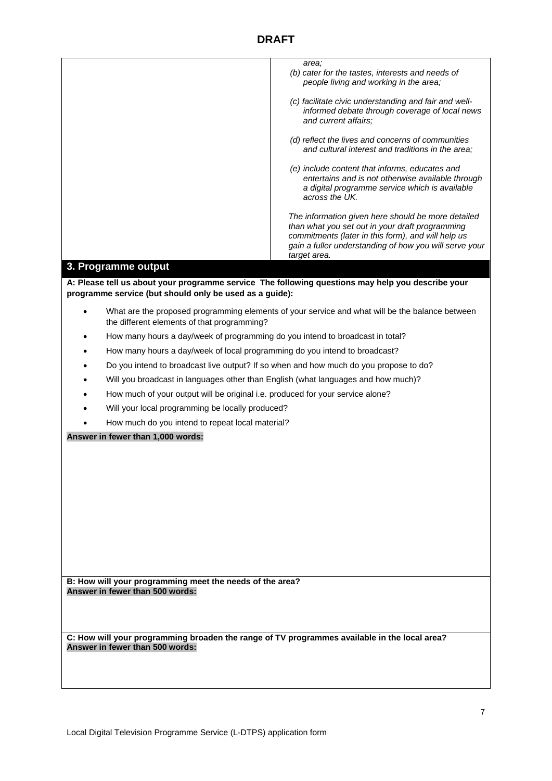|                                                                                                   | area;<br>(b) cater for the tastes, interests and needs of<br>people living and working in the area;                                                                                                                                   |  |
|---------------------------------------------------------------------------------------------------|---------------------------------------------------------------------------------------------------------------------------------------------------------------------------------------------------------------------------------------|--|
|                                                                                                   | (c) facilitate civic understanding and fair and well-<br>informed debate through coverage of local news<br>and current affairs;                                                                                                       |  |
|                                                                                                   | (d) reflect the lives and concerns of communities<br>and cultural interest and traditions in the area;                                                                                                                                |  |
|                                                                                                   | (e) include content that informs, educates and<br>entertains and is not otherwise available through<br>a digital programme service which is available<br>across the UK.                                                               |  |
|                                                                                                   | The information given here should be more detailed<br>than what you set out in your draft programming<br>commitments (later in this form), and will help us<br>gain a fuller understanding of how you will serve your<br>target area. |  |
| 3. Programme output                                                                               |                                                                                                                                                                                                                                       |  |
|                                                                                                   |                                                                                                                                                                                                                                       |  |
| A: Please tell us about your programme service The following questions may help you describe your |                                                                                                                                                                                                                                       |  |
| programme service (but should only be used as a guide):                                           |                                                                                                                                                                                                                                       |  |
| $\bullet$<br>the different elements of that programming?                                          | What are the proposed programming elements of your service and what will be the balance between                                                                                                                                       |  |
|                                                                                                   | How many hours a day/week of programming do you intend to broadcast in total?                                                                                                                                                         |  |
|                                                                                                   | How many hours a day/week of local programming do you intend to broadcast?                                                                                                                                                            |  |
|                                                                                                   |                                                                                                                                                                                                                                       |  |
| Do you intend to broadcast live output? If so when and how much do you propose to do?             |                                                                                                                                                                                                                                       |  |
| Will you broadcast in languages other than English (what languages and how much)?                 |                                                                                                                                                                                                                                       |  |
| How much of your output will be original i.e. produced for your service alone?                    |                                                                                                                                                                                                                                       |  |
| Will your local programming be locally produced?                                                  |                                                                                                                                                                                                                                       |  |
| How much do you intend to repeat local material?                                                  |                                                                                                                                                                                                                                       |  |
| Answer in fewer than 1,000 words:                                                                 |                                                                                                                                                                                                                                       |  |
|                                                                                                   |                                                                                                                                                                                                                                       |  |
|                                                                                                   |                                                                                                                                                                                                                                       |  |
|                                                                                                   |                                                                                                                                                                                                                                       |  |
|                                                                                                   |                                                                                                                                                                                                                                       |  |
|                                                                                                   |                                                                                                                                                                                                                                       |  |
|                                                                                                   |                                                                                                                                                                                                                                       |  |
|                                                                                                   |                                                                                                                                                                                                                                       |  |
|                                                                                                   |                                                                                                                                                                                                                                       |  |
|                                                                                                   |                                                                                                                                                                                                                                       |  |
|                                                                                                   |                                                                                                                                                                                                                                       |  |
|                                                                                                   |                                                                                                                                                                                                                                       |  |
| B: How will your programming meet the needs of the area?<br>Answer in fewer than 500 words:       |                                                                                                                                                                                                                                       |  |
|                                                                                                   |                                                                                                                                                                                                                                       |  |
|                                                                                                   |                                                                                                                                                                                                                                       |  |
|                                                                                                   |                                                                                                                                                                                                                                       |  |
| C: How will your programming broaden the range of TV programmes available in the local area?      |                                                                                                                                                                                                                                       |  |
| Answer in fewer than 500 words:                                                                   |                                                                                                                                                                                                                                       |  |
|                                                                                                   |                                                                                                                                                                                                                                       |  |
|                                                                                                   |                                                                                                                                                                                                                                       |  |
|                                                                                                   |                                                                                                                                                                                                                                       |  |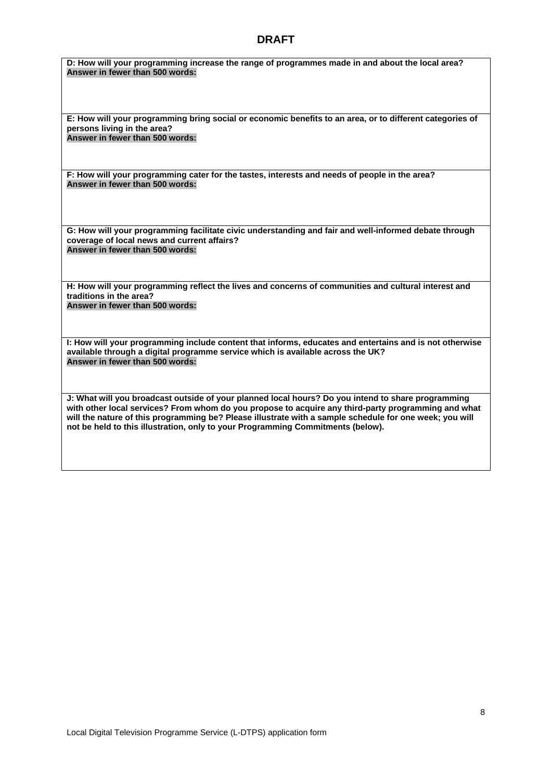**D: How will your programming increase the range of programmes made in and about the local area? Answer in fewer than 500 words:** 

**E: How will your programming bring social or economic benefits to an area, or to different categories of persons living in the area? Answer in fewer than 500 words:** 

**F: How will your programming cater for the tastes, interests and needs of people in the area? Answer in fewer than 500 words:** 

**G: How will your programming facilitate civic understanding and fair and well-informed debate through coverage of local news and current affairs? Answer in fewer than 500 words:** 

**H: How will your programming reflect the lives and concerns of communities and cultural interest and traditions in the area? Answer in fewer than 500 words:** 

**I: How will your programming include content that informs, educates and entertains and is not otherwise available through a digital programme service which is available across the UK? Answer in fewer than 500 words:** 

**J: What will you broadcast outside of your planned local hours? Do you intend to share programming with other local services? From whom do you propose to acquire any third-party programming and what will the nature of this programming be? Please illustrate with a sample schedule for one week; you will not be held to this illustration, only to your Programming Commitments (below).**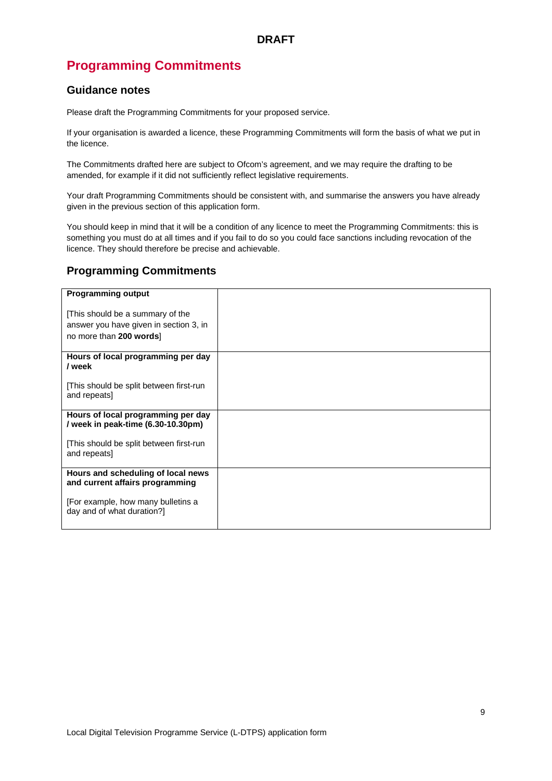# **Programming Commitments**

#### **Guidance notes**

Please draft the Programming Commitments for your proposed service.

If your organisation is awarded a licence, these Programming Commitments will form the basis of what we put in the licence.

The Commitments drafted here are subject to Ofcom's agreement, and we may require the drafting to be amended, for example if it did not sufficiently reflect legislative requirements.

Your draft Programming Commitments should be consistent with, and summarise the answers you have already given in the previous section of this application form.

You should keep in mind that it will be a condition of any licence to meet the Programming Commitments: this is something you must do at all times and if you fail to do so you could face sanctions including revocation of the licence. They should therefore be precise and achievable.

#### **Programming Commitments**

| <b>Programming output</b>                                                |  |
|--------------------------------------------------------------------------|--|
| [This should be a summary of the                                         |  |
| answer you have given in section 3, in<br>no more than 200 words]        |  |
|                                                                          |  |
| Hours of local programming per day<br>/ week                             |  |
| This should be split between first-run<br>and repeats]                   |  |
| Hours of local programming per day<br>/ week in peak-time (6.30-10.30pm) |  |
| [This should be split between first-run]<br>and repeats]                 |  |
| Hours and scheduling of local news<br>and current affairs programming    |  |
| [For example, how many bulletins a<br>day and of what duration?]         |  |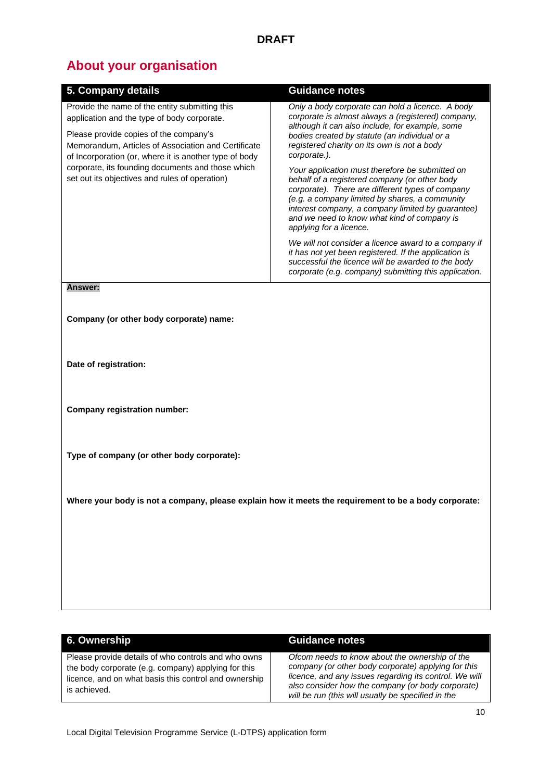# **About your organisation**

| 5. Company details                                                                                                                                                                                                                                             | <b>Guidance notes</b>                                                                                                                                                                                                                                                                                                                 |
|----------------------------------------------------------------------------------------------------------------------------------------------------------------------------------------------------------------------------------------------------------------|---------------------------------------------------------------------------------------------------------------------------------------------------------------------------------------------------------------------------------------------------------------------------------------------------------------------------------------|
| Provide the name of the entity submitting this<br>application and the type of body corporate.                                                                                                                                                                  | Only a body corporate can hold a licence. A body<br>corporate is almost always a (registered) company,<br>although it can also include, for example, some<br>bodies created by statute (an individual or a<br>registered charity on its own is not a body<br>corporate.).                                                             |
| Please provide copies of the company's<br>Memorandum, Articles of Association and Certificate<br>of Incorporation (or, where it is another type of body<br>corporate, its founding documents and those which<br>set out its objectives and rules of operation) |                                                                                                                                                                                                                                                                                                                                       |
|                                                                                                                                                                                                                                                                | Your application must therefore be submitted on<br>behalf of a registered company (or other body<br>corporate). There are different types of company<br>(e.g. a company limited by shares, a community<br>interest company, a company limited by guarantee)<br>and we need to know what kind of company is<br>applying for a licence. |
|                                                                                                                                                                                                                                                                | We will not consider a licence award to a company if<br>it has not yet been registered. If the application is<br>successful the licence will be awarded to the body<br>corporate (e.g. company) submitting this application.                                                                                                          |
| <b>Answer:</b>                                                                                                                                                                                                                                                 |                                                                                                                                                                                                                                                                                                                                       |
| Company (or other body corporate) name:                                                                                                                                                                                                                        |                                                                                                                                                                                                                                                                                                                                       |
| Date of registration:                                                                                                                                                                                                                                          |                                                                                                                                                                                                                                                                                                                                       |
| <b>Company registration number:</b>                                                                                                                                                                                                                            |                                                                                                                                                                                                                                                                                                                                       |

**Type of company (or other body corporate):**

**Where your body is not a company, please explain how it meets the requirement to be a body corporate:**

| 6. Ownership                                                                                                                                                                        | <b>Guidance notes</b>                                                                                                                                                                                                                                                      |
|-------------------------------------------------------------------------------------------------------------------------------------------------------------------------------------|----------------------------------------------------------------------------------------------------------------------------------------------------------------------------------------------------------------------------------------------------------------------------|
| Please provide details of who controls and who owns<br>the body corporate (e.g. company) applying for this<br>licence, and on what basis this control and ownership<br>is achieved. | Ofcom needs to know about the ownership of the<br>company (or other body corporate) applying for this<br>licence, and any issues regarding its control. We will<br>also consider how the company (or body corporate)<br>will be run (this will usually be specified in the |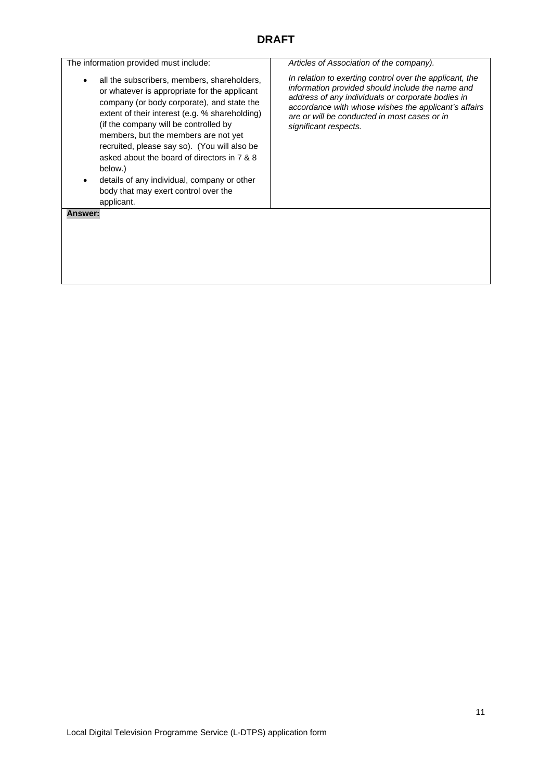| The information provided must include:                                                                                                                                                                                                                                                                                                                                                                                                                                                      | Articles of Association of the company).                                                                                                                                                                                                                                                          |
|---------------------------------------------------------------------------------------------------------------------------------------------------------------------------------------------------------------------------------------------------------------------------------------------------------------------------------------------------------------------------------------------------------------------------------------------------------------------------------------------|---------------------------------------------------------------------------------------------------------------------------------------------------------------------------------------------------------------------------------------------------------------------------------------------------|
| all the subscribers, members, shareholders,<br>or whatever is appropriate for the applicant<br>company (or body corporate), and state the<br>extent of their interest (e.g. % shareholding)<br>(if the company will be controlled by<br>members, but the members are not yet<br>recruited, please say so). (You will also be<br>asked about the board of directors in 7 & 8<br>below.)<br>details of any individual, company or other<br>body that may exert control over the<br>applicant. | In relation to exerting control over the applicant, the<br>information provided should include the name and<br>address of any individuals or corporate bodies in<br>accordance with whose wishes the applicant's affairs<br>are or will be conducted in most cases or in<br>significant respects. |
| <b>Answer:</b>                                                                                                                                                                                                                                                                                                                                                                                                                                                                              |                                                                                                                                                                                                                                                                                                   |
|                                                                                                                                                                                                                                                                                                                                                                                                                                                                                             |                                                                                                                                                                                                                                                                                                   |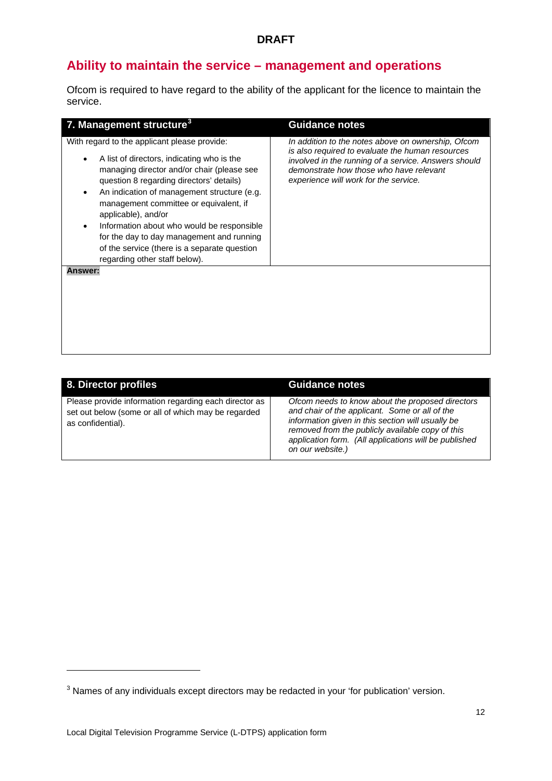# **Ability to maintain the service – management and operations**

Ofcom is required to have regard to the ability of the applicant for the licence to maintain the service.

| 7. Management structure <sup>3</sup>                                                                                                                                                                                                                                                                                                                                                                                                                                             | <b>Guidance notes</b>                                                                                                                                                                                                                              |
|----------------------------------------------------------------------------------------------------------------------------------------------------------------------------------------------------------------------------------------------------------------------------------------------------------------------------------------------------------------------------------------------------------------------------------------------------------------------------------|----------------------------------------------------------------------------------------------------------------------------------------------------------------------------------------------------------------------------------------------------|
| With regard to the applicant please provide:<br>A list of directors, indicating who is the<br>managing director and/or chair (please see<br>question 8 regarding directors' details)<br>An indication of management structure (e.g.<br>management committee or equivalent, if<br>applicable), and/or<br>Information about who would be responsible<br>for the day to day management and running<br>of the service (there is a separate question<br>regarding other staff below). | In addition to the notes above on ownership, Ofcom<br>is also required to evaluate the human resources<br>involved in the running of a service. Answers should<br>demonstrate how those who have relevant<br>experience will work for the service. |
| <b>Answer:</b>                                                                                                                                                                                                                                                                                                                                                                                                                                                                   |                                                                                                                                                                                                                                                    |

| 8. Director profiles                                                                                                              | <b>Guidance notes</b>                                                                                                                                                                                                                                                                    |
|-----------------------------------------------------------------------------------------------------------------------------------|------------------------------------------------------------------------------------------------------------------------------------------------------------------------------------------------------------------------------------------------------------------------------------------|
| Please provide information regarding each director as<br>set out below (some or all of which may be regarded<br>as confidential). | Ofcom needs to know about the proposed directors<br>and chair of the applicant. Some or all of the<br>information given in this section will usually be<br>removed from the publicly available copy of this<br>application form. (All applications will be published<br>on our website.) |

<u>.</u>

<span id="page-12-0"></span><sup>&</sup>lt;sup>3</sup> Names of any individuals except directors may be redacted in your 'for publication' version.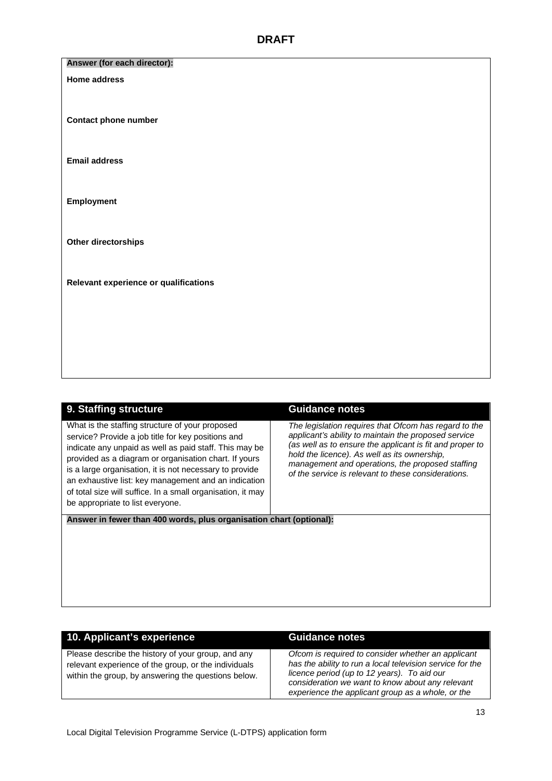#### **Answer (for each director):**

#### **Home address**

**Contact phone number**

**Email address**

**Employment**

**Other directorships**

**Relevant experience or qualifications**

| 9. Staffing structure                                                                                                                                                                                                                                                                                                                                                                                                                          | <b>Guidance notes</b>                                                                                                                                                                                                                                                                                                                |
|------------------------------------------------------------------------------------------------------------------------------------------------------------------------------------------------------------------------------------------------------------------------------------------------------------------------------------------------------------------------------------------------------------------------------------------------|--------------------------------------------------------------------------------------------------------------------------------------------------------------------------------------------------------------------------------------------------------------------------------------------------------------------------------------|
| What is the staffing structure of your proposed<br>service? Provide a job title for key positions and<br>indicate any unpaid as well as paid staff. This may be<br>provided as a diagram or organisation chart. If yours<br>is a large organisation, it is not necessary to provide<br>an exhaustive list: key management and an indication<br>of total size will suffice. In a small organisation, it may<br>be appropriate to list everyone. | The legislation reguires that Ofcom has regard to the<br>applicant's ability to maintain the proposed service<br>(as well as to ensure the applicant is fit and proper to<br>hold the licence). As well as its ownership,<br>management and operations, the proposed staffing<br>of the service is relevant to these considerations. |
| Answer in fewer than 400 words, plus organisation chart (optional):                                                                                                                                                                                                                                                                                                                                                                            |                                                                                                                                                                                                                                                                                                                                      |
|                                                                                                                                                                                                                                                                                                                                                                                                                                                |                                                                                                                                                                                                                                                                                                                                      |

| 10. Applicant's experience                                                                                                                                        | <b>Guidance notes</b>                                                                                                                                                                                                                                                   |
|-------------------------------------------------------------------------------------------------------------------------------------------------------------------|-------------------------------------------------------------------------------------------------------------------------------------------------------------------------------------------------------------------------------------------------------------------------|
|                                                                                                                                                                   |                                                                                                                                                                                                                                                                         |
| Please describe the history of your group, and any<br>relevant experience of the group, or the individuals<br>within the group, by answering the questions below. | Ofcom is required to consider whether an applicant<br>has the ability to run a local television service for the<br>licence period (up to 12 years). To aid our<br>consideration we want to know about any relevant<br>experience the applicant group as a whole, or the |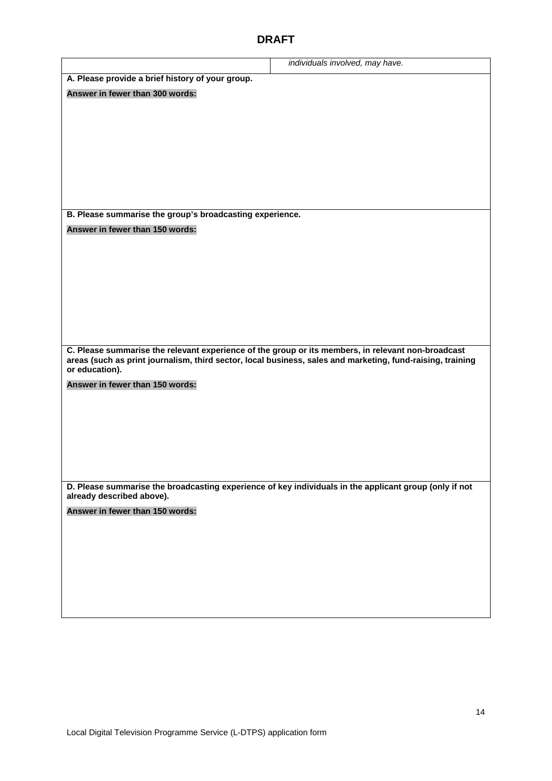|                                                                                                                                                                                                                                    | individuals involved, may have. |  |
|------------------------------------------------------------------------------------------------------------------------------------------------------------------------------------------------------------------------------------|---------------------------------|--|
| A. Please provide a brief history of your group.                                                                                                                                                                                   |                                 |  |
| Answer in fewer than 300 words:                                                                                                                                                                                                    |                                 |  |
|                                                                                                                                                                                                                                    |                                 |  |
|                                                                                                                                                                                                                                    |                                 |  |
|                                                                                                                                                                                                                                    |                                 |  |
|                                                                                                                                                                                                                                    |                                 |  |
|                                                                                                                                                                                                                                    |                                 |  |
|                                                                                                                                                                                                                                    |                                 |  |
|                                                                                                                                                                                                                                    |                                 |  |
| B. Please summarise the group's broadcasting experience.                                                                                                                                                                           |                                 |  |
| Answer in fewer than 150 words:                                                                                                                                                                                                    |                                 |  |
|                                                                                                                                                                                                                                    |                                 |  |
|                                                                                                                                                                                                                                    |                                 |  |
|                                                                                                                                                                                                                                    |                                 |  |
|                                                                                                                                                                                                                                    |                                 |  |
|                                                                                                                                                                                                                                    |                                 |  |
|                                                                                                                                                                                                                                    |                                 |  |
|                                                                                                                                                                                                                                    |                                 |  |
| C. Please summarise the relevant experience of the group or its members, in relevant non-broadcast<br>areas (such as print journalism, third sector, local business, sales and marketing, fund-raising, training<br>or education). |                                 |  |
| Answer in fewer than 150 words:                                                                                                                                                                                                    |                                 |  |
|                                                                                                                                                                                                                                    |                                 |  |
|                                                                                                                                                                                                                                    |                                 |  |
|                                                                                                                                                                                                                                    |                                 |  |
|                                                                                                                                                                                                                                    |                                 |  |
|                                                                                                                                                                                                                                    |                                 |  |
|                                                                                                                                                                                                                                    |                                 |  |
| D. Please summarise the broadcasting experience of key individuals in the applicant group (only if not<br>already described above).                                                                                                |                                 |  |
| Answer in fewer than 150 words:                                                                                                                                                                                                    |                                 |  |
|                                                                                                                                                                                                                                    |                                 |  |
|                                                                                                                                                                                                                                    |                                 |  |
|                                                                                                                                                                                                                                    |                                 |  |
|                                                                                                                                                                                                                                    |                                 |  |
|                                                                                                                                                                                                                                    |                                 |  |
|                                                                                                                                                                                                                                    |                                 |  |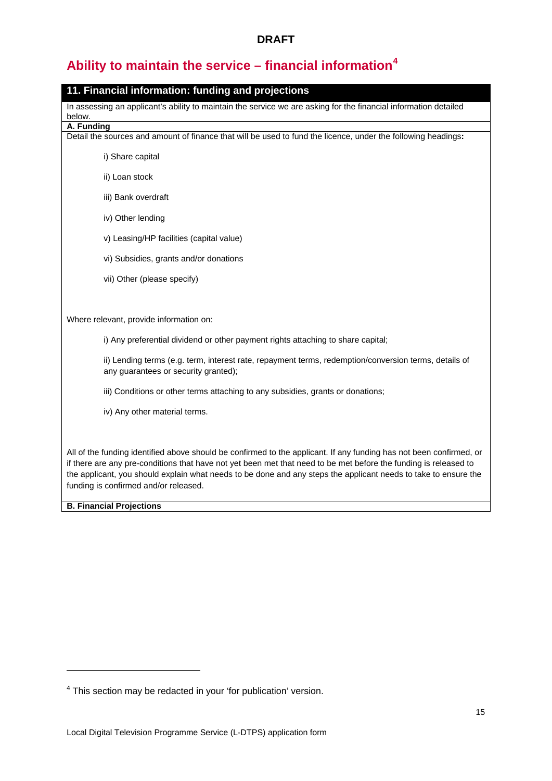# **Ability to maintain the service – financial information[4](#page-15-0)**

| 11. Financial information: funding and projections                                                                                                                                                                                                                                                                                                                                                  |
|-----------------------------------------------------------------------------------------------------------------------------------------------------------------------------------------------------------------------------------------------------------------------------------------------------------------------------------------------------------------------------------------------------|
| In assessing an applicant's ability to maintain the service we are asking for the financial information detailed                                                                                                                                                                                                                                                                                    |
| below.<br>A. Funding                                                                                                                                                                                                                                                                                                                                                                                |
| Detail the sources and amount of finance that will be used to fund the licence, under the following headings:                                                                                                                                                                                                                                                                                       |
| i) Share capital                                                                                                                                                                                                                                                                                                                                                                                    |
| ii) Loan stock                                                                                                                                                                                                                                                                                                                                                                                      |
| iii) Bank overdraft                                                                                                                                                                                                                                                                                                                                                                                 |
| iv) Other lending                                                                                                                                                                                                                                                                                                                                                                                   |
| v) Leasing/HP facilities (capital value)                                                                                                                                                                                                                                                                                                                                                            |
| vi) Subsidies, grants and/or donations                                                                                                                                                                                                                                                                                                                                                              |
| vii) Other (please specify)                                                                                                                                                                                                                                                                                                                                                                         |
|                                                                                                                                                                                                                                                                                                                                                                                                     |
| Where relevant, provide information on:                                                                                                                                                                                                                                                                                                                                                             |
| i) Any preferential dividend or other payment rights attaching to share capital;                                                                                                                                                                                                                                                                                                                    |
| ii) Lending terms (e.g. term, interest rate, repayment terms, redemption/conversion terms, details of<br>any guarantees or security granted);                                                                                                                                                                                                                                                       |
| iii) Conditions or other terms attaching to any subsidies, grants or donations;                                                                                                                                                                                                                                                                                                                     |
| iv) Any other material terms.                                                                                                                                                                                                                                                                                                                                                                       |
|                                                                                                                                                                                                                                                                                                                                                                                                     |
| All of the funding identified above should be confirmed to the applicant. If any funding has not been confirmed, or<br>if there are any pre-conditions that have not yet been met that need to be met before the funding is released to<br>the applicant, you should explain what needs to be done and any steps the applicant needs to take to ensure the<br>funding is confirmed and/or released. |
| <b>B. Financial Projections</b>                                                                                                                                                                                                                                                                                                                                                                     |

<u>.</u>

<span id="page-15-0"></span><sup>4</sup> This section may be redacted in your 'for publication' version.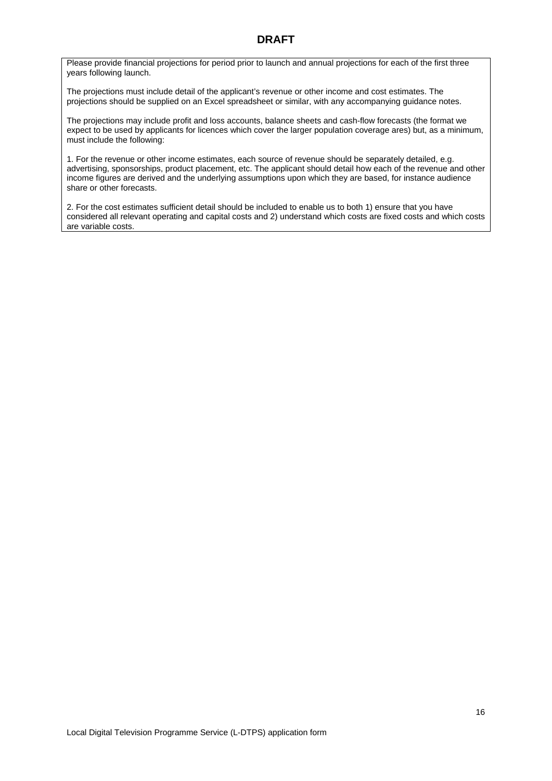Please provide financial projections for period prior to launch and annual projections for each of the first three years following launch.

The projections must include detail of the applicant's revenue or other income and cost estimates. The projections should be supplied on an Excel spreadsheet or similar, with any accompanying guidance notes.

The projections may include profit and loss accounts, balance sheets and cash-flow forecasts (the format we expect to be used by applicants for licences which cover the larger population coverage ares) but, as a minimum, must include the following:

1. For the revenue or other income estimates, each source of revenue should be separately detailed, e.g. advertising, sponsorships, product placement, etc. The applicant should detail how each of the revenue and other income figures are derived and the underlying assumptions upon which they are based, for instance audience share or other forecasts.

2. For the cost estimates sufficient detail should be included to enable us to both 1) ensure that you have considered all relevant operating and capital costs and 2) understand which costs are fixed costs and which costs are variable costs.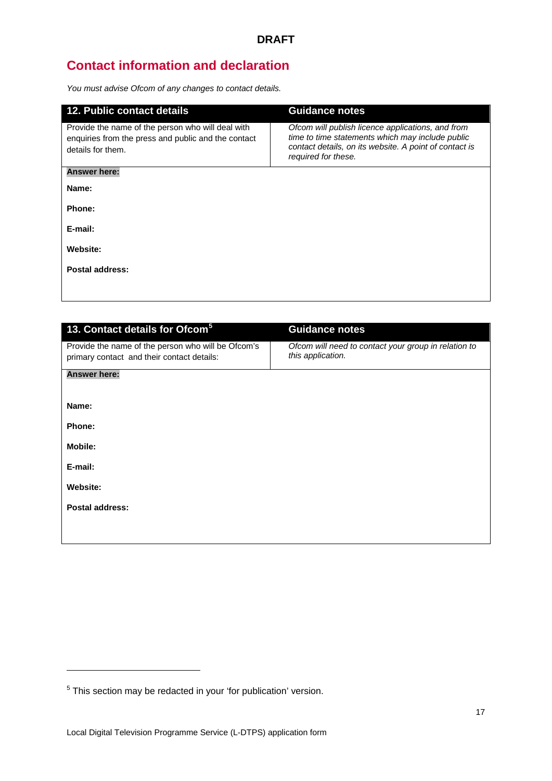# **Contact information and declaration**

*You must advise Ofcom of any changes to contact details.*

| <b>12. Public contact details</b>                                                                                             | <b>Guidance notes</b>                                                                                                                                                                  |  |
|-------------------------------------------------------------------------------------------------------------------------------|----------------------------------------------------------------------------------------------------------------------------------------------------------------------------------------|--|
| Provide the name of the person who will deal with<br>enquiries from the press and public and the contact<br>details for them. | Ofcom will publish licence applications, and from<br>time to time statements which may include public<br>contact details, on its website. A point of contact is<br>required for these. |  |
| <b>Answer here:</b>                                                                                                           |                                                                                                                                                                                        |  |
| Name:                                                                                                                         |                                                                                                                                                                                        |  |
| Phone:                                                                                                                        |                                                                                                                                                                                        |  |
| E-mail:                                                                                                                       |                                                                                                                                                                                        |  |
| Website:                                                                                                                      |                                                                                                                                                                                        |  |
| Postal address:                                                                                                               |                                                                                                                                                                                        |  |
|                                                                                                                               |                                                                                                                                                                                        |  |

| Ofcom will need to contact your group in relation to<br>this application. |
|---------------------------------------------------------------------------|
|                                                                           |
|                                                                           |
|                                                                           |
|                                                                           |
|                                                                           |
|                                                                           |
|                                                                           |
|                                                                           |
|                                                                           |
|                                                                           |

<u>.</u>

<span id="page-17-0"></span> $5$  This section may be redacted in your 'for publication' version.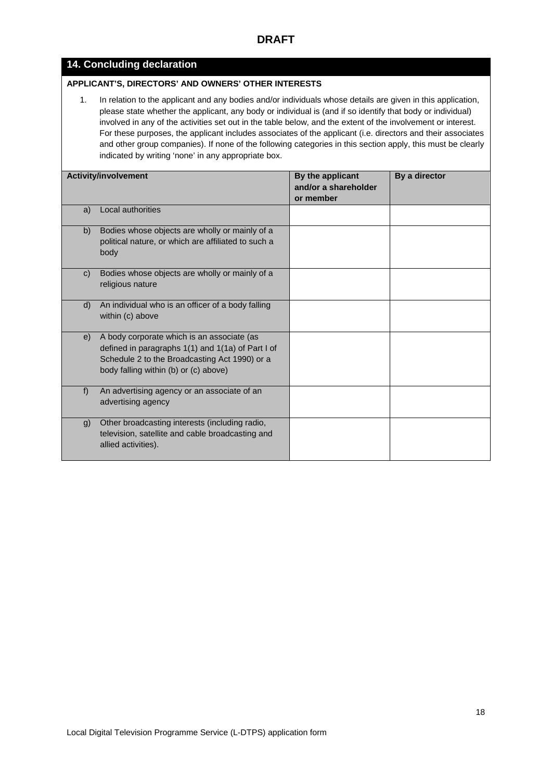#### **14. Concluding declaration**

#### **APPLICANT'S, DIRECTORS' AND OWNERS' OTHER INTERESTS**

1. In relation to the applicant and any bodies and/or individuals whose details are given in this application, please state whether the applicant, any body or individual is (and if so identify that body or individual) involved in any of the activities set out in the table below, and the extent of the involvement or interest. For these purposes, the applicant includes associates of the applicant (i.e. directors and their associates and other group companies). If none of the following categories in this section apply, this must be clearly indicated by writing 'none' in any appropriate box.

|    | <b>Activity/involvement</b>                                                                                                                                                               | By the applicant<br>and/or a shareholder<br>or member | By a director |
|----|-------------------------------------------------------------------------------------------------------------------------------------------------------------------------------------------|-------------------------------------------------------|---------------|
| a) | Local authorities                                                                                                                                                                         |                                                       |               |
| b) | Bodies whose objects are wholly or mainly of a<br>political nature, or which are affiliated to such a<br>body                                                                             |                                                       |               |
| C) | Bodies whose objects are wholly or mainly of a<br>religious nature                                                                                                                        |                                                       |               |
| d) | An individual who is an officer of a body falling<br>within (c) above                                                                                                                     |                                                       |               |
| e) | A body corporate which is an associate (as<br>defined in paragraphs 1(1) and 1(1a) of Part I of<br>Schedule 2 to the Broadcasting Act 1990) or a<br>body falling within (b) or (c) above) |                                                       |               |
| f  | An advertising agency or an associate of an<br>advertising agency                                                                                                                         |                                                       |               |
| g) | Other broadcasting interests (including radio,<br>television, satellite and cable broadcasting and<br>allied activities).                                                                 |                                                       |               |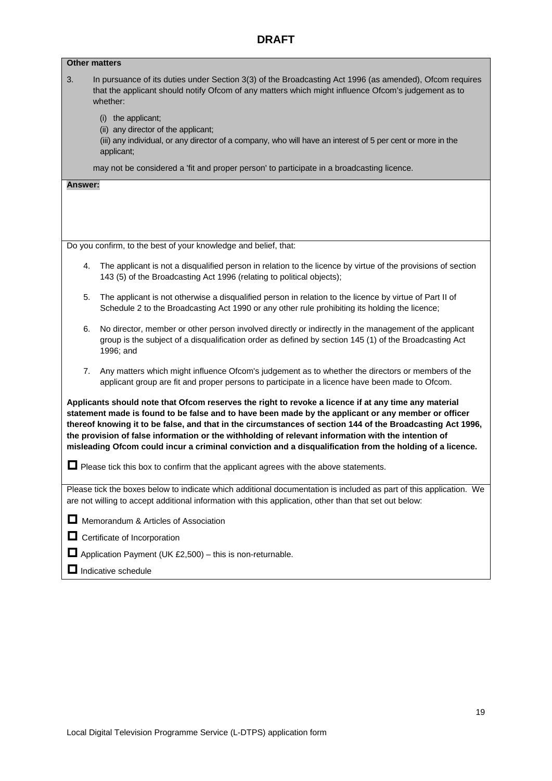| <b>Other matters</b>                                                                                                                                                                                                                                                                                                                                                                                                                                                                                                                         |  |
|----------------------------------------------------------------------------------------------------------------------------------------------------------------------------------------------------------------------------------------------------------------------------------------------------------------------------------------------------------------------------------------------------------------------------------------------------------------------------------------------------------------------------------------------|--|
| 3.<br>In pursuance of its duties under Section 3(3) of the Broadcasting Act 1996 (as amended), Ofcom requires<br>that the applicant should notify Ofcom of any matters which might influence Ofcom's judgement as to<br>whether:                                                                                                                                                                                                                                                                                                             |  |
| (i) the applicant;<br>(ii) any director of the applicant;<br>(iii) any individual, or any director of a company, who will have an interest of 5 per cent or more in the<br>applicant;                                                                                                                                                                                                                                                                                                                                                        |  |
| may not be considered a 'fit and proper person' to participate in a broadcasting licence.                                                                                                                                                                                                                                                                                                                                                                                                                                                    |  |
| Answer:                                                                                                                                                                                                                                                                                                                                                                                                                                                                                                                                      |  |
|                                                                                                                                                                                                                                                                                                                                                                                                                                                                                                                                              |  |
|                                                                                                                                                                                                                                                                                                                                                                                                                                                                                                                                              |  |
| Do you confirm, to the best of your knowledge and belief, that:                                                                                                                                                                                                                                                                                                                                                                                                                                                                              |  |
| The applicant is not a disqualified person in relation to the licence by virtue of the provisions of section<br>4.<br>143 (5) of the Broadcasting Act 1996 (relating to political objects);                                                                                                                                                                                                                                                                                                                                                  |  |
| 5.<br>The applicant is not otherwise a disqualified person in relation to the licence by virtue of Part II of<br>Schedule 2 to the Broadcasting Act 1990 or any other rule prohibiting its holding the licence;                                                                                                                                                                                                                                                                                                                              |  |
| No director, member or other person involved directly or indirectly in the management of the applicant<br>6.<br>group is the subject of a disqualification order as defined by section 145 (1) of the Broadcasting Act<br>1996; and                                                                                                                                                                                                                                                                                                          |  |
| Any matters which might influence Ofcom's judgement as to whether the directors or members of the<br>7.<br>applicant group are fit and proper persons to participate in a licence have been made to Ofcom.                                                                                                                                                                                                                                                                                                                                   |  |
| Applicants should note that Ofcom reserves the right to revoke a licence if at any time any material<br>statement made is found to be false and to have been made by the applicant or any member or officer<br>thereof knowing it to be false, and that in the circumstances of section 144 of the Broadcasting Act 1996,<br>the provision of false information or the withholding of relevant information with the intention of<br>misleading Ofcom could incur a criminal conviction and a disqualification from the holding of a licence. |  |
| $\Box$ Please tick this box to confirm that the applicant agrees with the above statements.                                                                                                                                                                                                                                                                                                                                                                                                                                                  |  |
| Please tick the boxes below to indicate which additional documentation is included as part of this application. We<br>are not willing to accept additional information with this application, other than that set out below:                                                                                                                                                                                                                                                                                                                 |  |
| Memorandum & Articles of Association                                                                                                                                                                                                                                                                                                                                                                                                                                                                                                         |  |
| $\Box$ Certificate of Incorporation                                                                                                                                                                                                                                                                                                                                                                                                                                                                                                          |  |
| $\Box$ Application Payment (UK £2,500) – this is non-returnable.                                                                                                                                                                                                                                                                                                                                                                                                                                                                             |  |
| $\Box$ Indicative schedule                                                                                                                                                                                                                                                                                                                                                                                                                                                                                                                   |  |